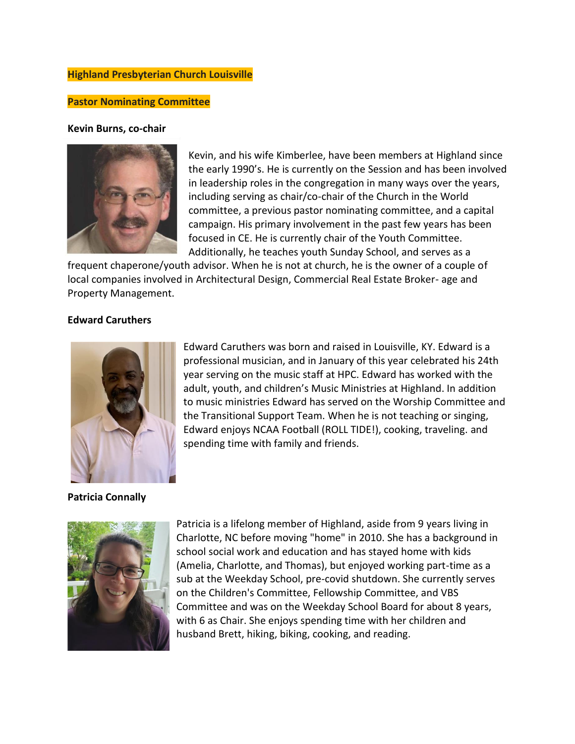# **Highland Presbyterian Church Louisville**

### **Pastor Nominating Committee**

#### **Kevin Burns, co-chair**



Kevin, and his wife Kimberlee, have been members at Highland since the early 1990's. He is currently on the Session and has been involved in leadership roles in the congregation in many ways over the years, including serving as chair/co-chair of the Church in the World committee, a previous pastor nominating committee, and a capital campaign. His primary involvement in the past few years has been focused in CE. He is currently chair of the Youth Committee. Additionally, he teaches youth Sunday School, and serves as a

frequent chaperone/youth advisor. When he is not at church, he is the owner of a couple of local companies involved in Architectural Design, Commercial Real Estate Broker- age and Property Management.

### **Edward Caruthers**



Edward Caruthers was born and raised in Louisville, KY. Edward is a professional musician, and in January of this year celebrated his 24th year serving on the music staff at HPC. Edward has worked with the adult, youth, and children's Music Ministries at Highland. In addition to music ministries Edward has served on the Worship Committee and the Transitional Support Team. When he is not teaching or singing, Edward enjoys NCAA Football (ROLL TIDE!), cooking, traveling. and spending time with family and friends.

#### **Patricia Connally**



Patricia is a lifelong member of Highland, aside from 9 years living in Charlotte, NC before moving "home" in 2010. She has a background in school social work and education and has stayed home with kids (Amelia, Charlotte, and Thomas), but enjoyed working part-time as a sub at the Weekday School, pre-covid shutdown. She currently serves on the Children's Committee, Fellowship Committee, and VBS Committee and was on the Weekday School Board for about 8 years, with 6 as Chair. She enjoys spending time with her children and husband Brett, hiking, biking, cooking, and reading.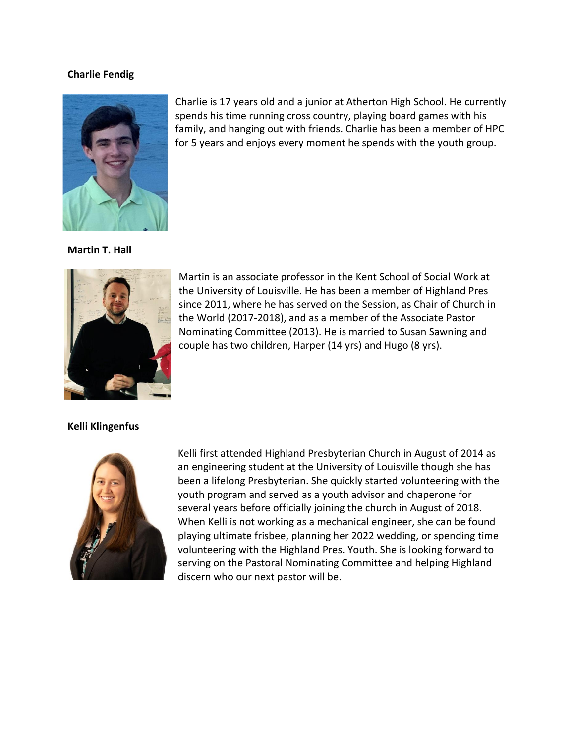### **Charlie Fendig**



Charlie is 17 years old and a junior at Atherton High School. He currently spends his time running cross country, playing board games with his family, and hanging out with friends. Charlie has been a member of HPC for 5 years and enjoys every moment he spends with the youth group.

#### **Martin T. Hall**



Martin is an associate professor in the Kent School of Social Work at the University of Louisville. He has been a member of Highland Pres since 2011, where he has served on the Session, as Chair of Church in the World (2017-2018), and as a member of the Associate Pastor Nominating Committee (2013). He is married to Susan Sawning and couple has two children, Harper (14 yrs) and Hugo (8 yrs).

## **Kelli Klingenfus**



Kelli first attended Highland Presbyterian Church in August of 2014 as an engineering student at the University of Louisville though she has been a lifelong Presbyterian. She quickly started volunteering with the youth program and served as a youth advisor and chaperone for several years before officially joining the church in August of 2018. When Kelli is not working as a mechanical engineer, she can be found playing ultimate frisbee, planning her 2022 wedding, or spending time volunteering with the Highland Pres. Youth. She is looking forward to serving on the Pastoral Nominating Committee and helping Highland discern who our next pastor will be.